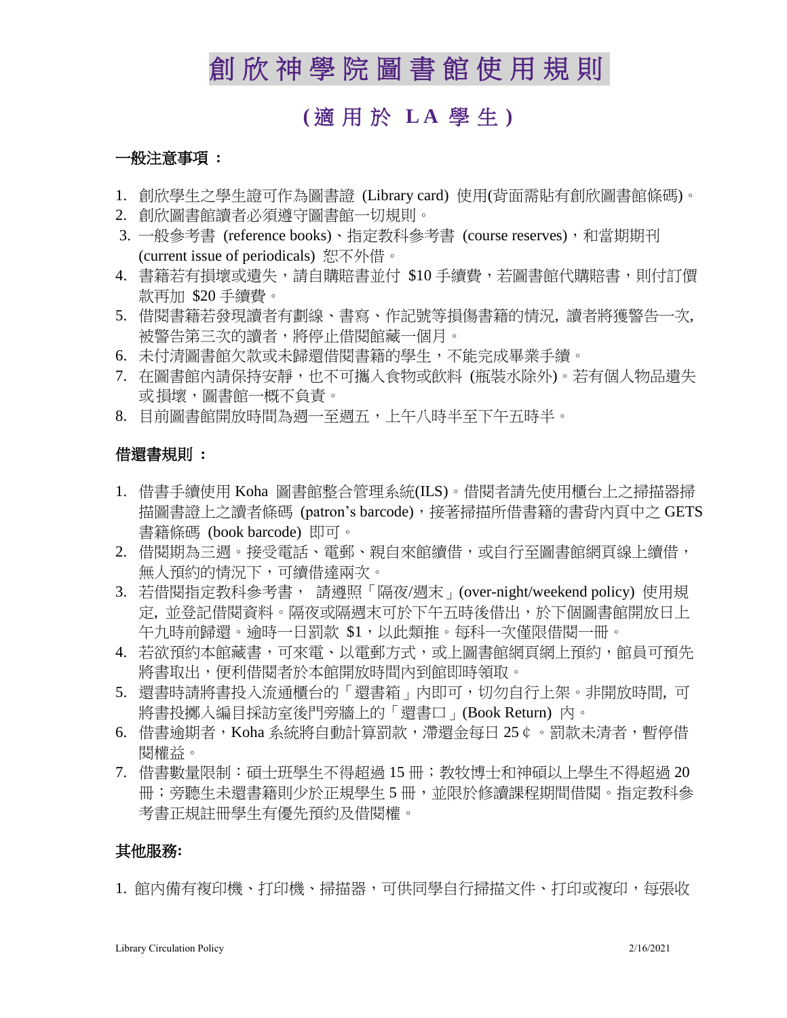# 創 欣 神 學 院 圖書館 使 用 規 則

## **(** 適用於 **L A** 學 生 **)**

#### 一般注意事項 **:**

- 1. 創欣學生之學生證可作為圖書證 (Library card) 使用(背面需貼有創欣圖書館條碼)。
- 2. 創欣圖書館讀者必須遵守圖書館一切規則。
- 3. 一般參考書 (reference books)、指定教科參考書 (course reserves),和當期期刊 (current issue of periodicals) 恕不外借。
- 4. 書籍若有損壞或潰失,請自購賠書並付 \$10 手續費,若圖書館代購賠書,則付訂價 款再加 \$20 手續費。
- 5. 借閱書籍若發現讀者有劃線、書寫、作記號等損傷書籍的情況, 讀者將獲警告一次, 被警告第三次的讀者,將停止借閱館藏一個月。
- 6. 未付清圖書館欠款或未歸還借閱書籍的學生,不能完成畢業手續。
- 7. 在圖書館內請保持安靜,也不可攜入食物或飲料 (瓶裝水除外)。若有個人物品遺失 或損壞,圖書館一概不負責。
- 8. 目前圖書館開放時間為週一至週五,上午八時半至下午五時半。

### 借還書規則 **:**

- 1. 借書手續使用 Koha 圖書館整合管理系統(ILS)。借閱者請先使用櫃台上之掃描器掃 描圖書證上之讀者條碼 (patron's barcode),接著掃描所借書籍的書背內頁中之 GETS 書籍條碼 (book barcode) 即可。
- 2. 借閱期為三週。接受電話、電郵、親自來館續借,或自行至圖書館網頁線上續借, 無人預約的情況下,可續借達兩次。
- 3. 若借閱指定教科參考書, 請遵照「隔夜/週末」(over-night/weekend policy) 使用規 定, 並登記借閱資料。隔夜或隔週末可於下午五時後借出,於下個圖書館開放日上 午九時前歸還。逾時一日罰款 \$1,以此類推。每科一次僅限借閱一冊。
- 4. 若欲預約本館藏書,可來電、以電郵方式,或上圖書館網頁網上預約,館員可預先 將書取出,便利借閱者於本館開放時間內到館即時領取。
- 5. 還書時請將書投入流通櫃台的「還書箱」內即可,切勿自行上架。非開放時間, 可 將書投擲入編目採訪室後門旁牆上的「還書口」(Book Return) 內。
- 6. 借書逾期者, Koha 系統將自動計算罰款,滯還金每日 25¢。罰款未清者,暫停借 閱權益。
- 7. 借書數量限制:碩十班學生不得超過 15 冊;教牧博十和神碩以上學生不得超過 20 冊;旁聽生未還書籍則少於正規學生 5 冊,並限於修讀課程期間借閱。指定教科參 考書正規註冊學生有優先預約及借閱權。

#### 其他服務**:**

1. 館內備有複印機、打印機、掃描器,可供同學自行掃描文件、打印或複印,每張收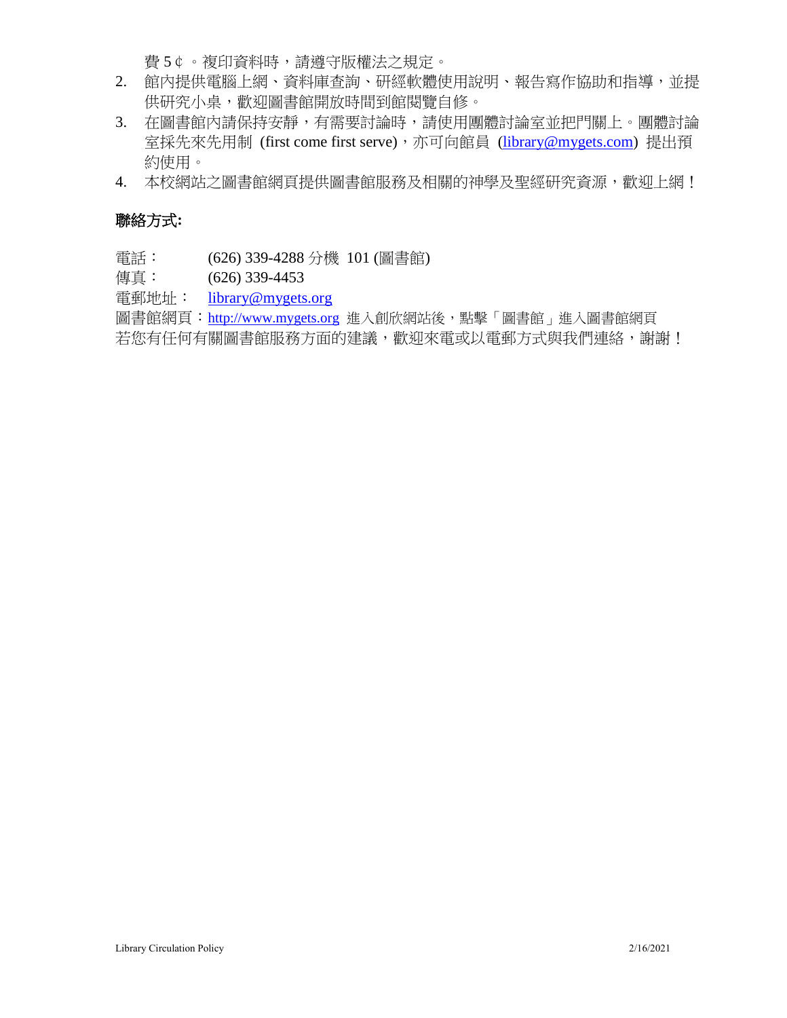費 5¢。複印資料時,請遵守版權法之規定。

- 2. 館內提供電腦上網、資料庫查詢、研經軟體使用說明、報告寫作協助和指導,並提 供研究小桌,歡迎圖書館開放時間到館閱覽自修。
- 3. 在圖書館內請保持安靜,有需要討論時,請使用團體討論室並把門關上。團體討論 室採先來先用制 (first come first serve),亦可向館員 [\(library@mygets.com\)](mailto:library@mygets.com)提出預 約使用。
- 4. 本校網站之圖書館網頁提供圖書館服務及相關的神學及聖經研究資源,歡迎上網!

### 聯絡方式**:**

電話: (626) 339-4288 分機 101 (圖書館)

傳真: (626) 339-4453

電郵地址: [library@mygets.org](mailto:library@mygets.org)

圖書館網頁: [http://www.mygets.org](http://www.mygets.or/) 進入創欣網站後,點擊「圖書館」進入圖書館網頁 若您有任何有關圖書館服務方面的建議,歡迎來電或以電郵方式與我們連絡,謝謝!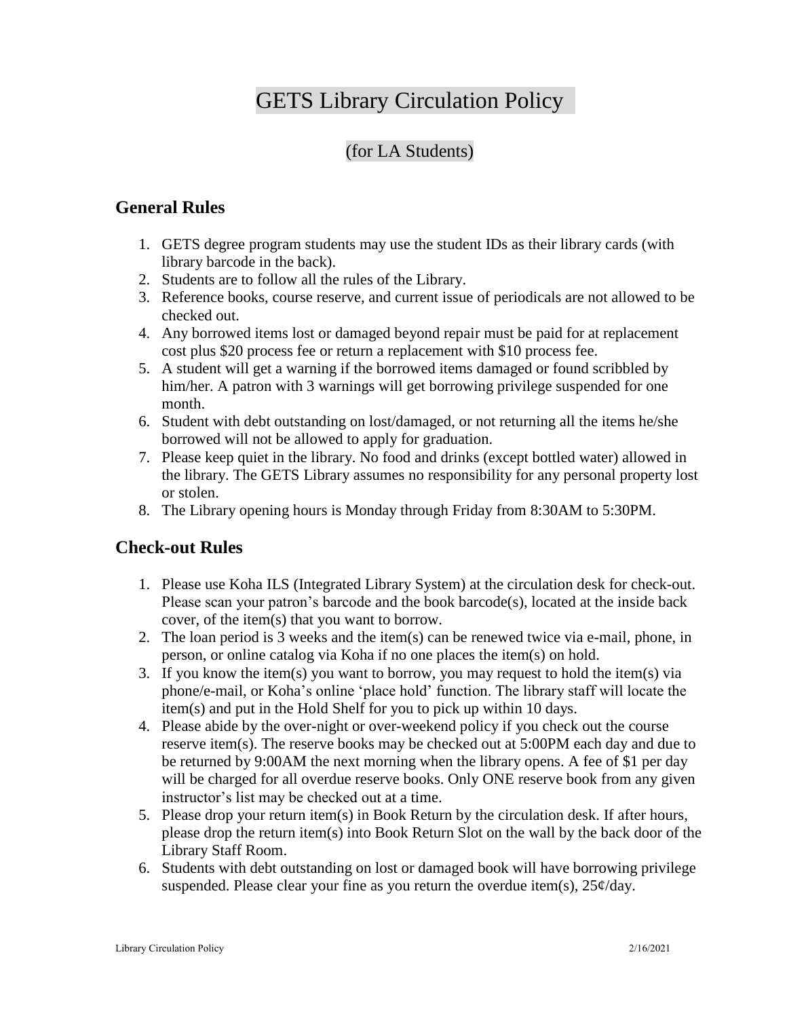## GETS Library Circulation Policy

## (for LA Students)

### **General Rules**

- 1. GETS degree program students may use the student IDs as their library cards (with library barcode in the back).
- 2. Students are to follow all the rules of the Library.
- 3. Reference books, course reserve, and current issue of periodicals are not allowed to be checked out.
- 4. Any borrowed items lost or damaged beyond repair must be paid for at replacement cost plus \$20 process fee or return a replacement with \$10 process fee.
- 5. A student will get a warning if the borrowed items damaged or found scribbled by him/her. A patron with 3 warnings will get borrowing privilege suspended for one month.
- 6. Student with debt outstanding on lost/damaged, or not returning all the items he/she borrowed will not be allowed to apply for graduation.
- 7. Please keep quiet in the library. No food and drinks (except bottled water) allowed in the library. The GETS Library assumes no responsibility for any personal property lost or stolen.
- 8. The Library opening hours is Monday through Friday from 8:30AM to 5:30PM.

### **Check-out Rules**

- 1. Please use Koha ILS (Integrated Library System) at the circulation desk for check-out. Please scan your patron's barcode and the book barcode(s), located at the inside back cover, of the item(s) that you want to borrow.
- 2. The loan period is 3 weeks and the item(s) can be renewed twice via e-mail, phone, in person, or online catalog via Koha if no one places the item(s) on hold.
- 3. If you know the item(s) you want to borrow, you may request to hold the item(s) via phone/e-mail, or Koha's online 'place hold' function. The library staff will locate the item(s) and put in the Hold Shelf for you to pick up within 10 days.
- 4. Please abide by the over-night or over-weekend policy if you check out the course reserve item(s). The reserve books may be checked out at 5:00PM each day and due to be returned by 9:00AM the next morning when the library opens. A fee of \$1 per day will be charged for all overdue reserve books. Only ONE reserve book from any given instructor's list may be checked out at a time.
- 5. Please drop your return item(s) in Book Return by the circulation desk. If after hours, please drop the return item(s) into Book Return Slot on the wall by the back door of the Library Staff Room.
- 6. Students with debt outstanding on lost or damaged book will have borrowing privilege suspended. Please clear your fine as you return the overdue item(s),  $25¢/day$ .